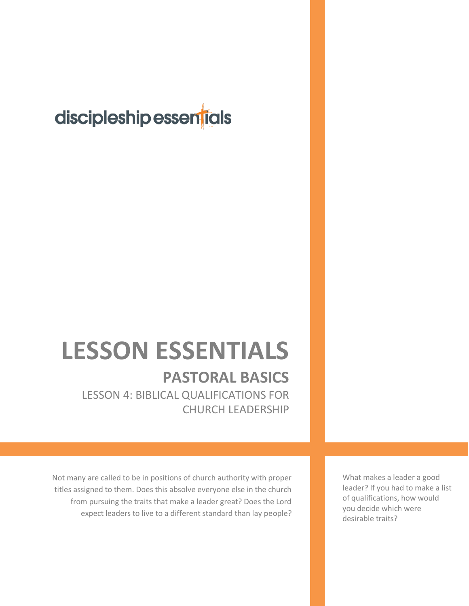## discipleship essentials

# **LESSON ESSENTIALS**

## **PASTORAL BASICS**

LESSON 4: BIBLICAL QUALIFICATIONS FOR CHURCH LEADERSHIP

Not many are called to be in positions of church authority with proper titles assigned to them. Does this absolve everyone else in the church from pursuing the traits that make a leader great? Does the Lord expect leaders to live to a different standard than lay people?

What makes a leader a good leader? If you had to make a list of qualifications, how would you decide which were desirable traits?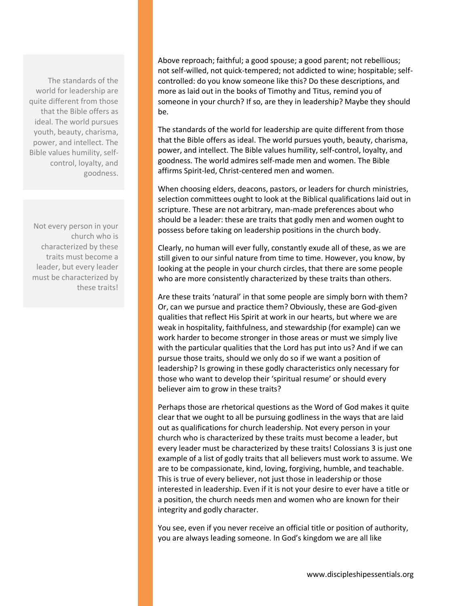The standards of the world for leadership are quite different from those that the Bible offers as ideal. The world pursues youth, beauty, charisma, power, and intellect. The Bible values humility, selfcontrol, loyalty, and goodness.

Not every person in your church who is characterized by these traits must become a leader, but every leader must be characterized by these traits!

Above reproach; faithful; a good spouse; a good parent; not rebellious; not self-willed, not quick-tempered; not addicted to wine; hospitable; selfcontrolled: do you know someone like this? Do these descriptions, and more as laid out in the books of Timothy and Titus, remind you of someone in your church? If so, are they in leadership? Maybe they should be.

The standards of the world for leadership are quite different from those that the Bible offers as ideal. The world pursues youth, beauty, charisma, power, and intellect. The Bible values humility, self-control, loyalty, and goodness. The world admires self-made men and women. The Bible affirms Spirit-led, Christ-centered men and women.

When choosing elders, deacons, pastors, or leaders for church ministries, selection committees ought to look at the Biblical qualifications laid out in scripture. These are not arbitrary, man-made preferences about who should be a leader: these are traits that godly men and women ought to possess before taking on leadership positions in the church body.

Clearly, no human will ever fully, constantly exude all of these, as we are still given to our sinful nature from time to time. However, you know, by looking at the people in your church circles, that there are some people who are more consistently characterized by these traits than others.

Are these traits 'natural' in that some people are simply born with them? Or, can we pursue and practice them? Obviously, these are God-given qualities that reflect His Spirit at work in our hearts, but where we are weak in hospitality, faithfulness, and stewardship (for example) can we work harder to become stronger in those areas or must we simply live with the particular qualities that the Lord has put into us? And if we can pursue those traits, should we only do so if we want a position of leadership? Is growing in these godly characteristics only necessary for those who want to develop their 'spiritual resume' or should every believer aim to grow in these traits?

Perhaps those are rhetorical questions as the Word of God makes it quite clear that we ought to all be pursuing godliness in the ways that are laid out as qualifications for church leadership. Not every person in your church who is characterized by these traits must become a leader, but every leader must be characterized by these traits! Colossians 3 is just one example of a list of godly traits that all believers must work to assume. We are to be compassionate, kind, loving, forgiving, humble, and teachable. This is true of every believer, not just those in leadership or those interested in leadership. Even if it is not your desire to ever have a title or a position, the church needs men and women who are known for their integrity and godly character.

You see, even if you never receive an official title or position of authority, you are always leading someone. In God's kingdom we are all like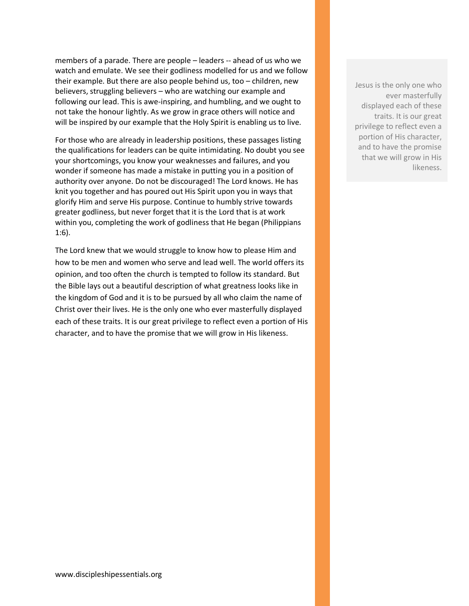members of a parade. There are people – leaders -- ahead of us who we watch and emulate. We see their godliness modelled for us and we follow their example. But there are also people behind us, too – children, new believers, struggling believers – who are watching our example and following our lead. This is awe-inspiring, and humbling, and we ought to not take the honour lightly. As we grow in grace others will notice and will be inspired by our example that the Holy Spirit is enabling us to live.

For those who are already in leadership positions, these passages listing the qualifications for leaders can be quite intimidating. No doubt you see your shortcomings, you know your weaknesses and failures, and you wonder if someone has made a mistake in putting you in a position of authority over anyone. Do not be discouraged! The Lord knows. He has knit you together and has poured out His Spirit upon you in ways that glorify Him and serve His purpose. Continue to humbly strive towards greater godliness, but never forget that it is the Lord that is at work within you, completing the work of godliness that He began (Philippians 1:6).

The Lord knew that we would struggle to know how to please Him and how to be men and women who serve and lead well. The world offers its opinion, and too often the church is tempted to follow its standard. But the Bible lays out a beautiful description of what greatness looks like in the kingdom of God and it is to be pursued by all who claim the name of Christ over their lives. He is the only one who ever masterfully displayed each of these traits. It is our great privilege to reflect even a portion of His character, and to have the promise that we will grow in His likeness.

Jesus is the only one who ever masterfully displayed each of these traits. It is our great privilege to reflect even a portion of His character, and to have the promise that we will grow in His likeness.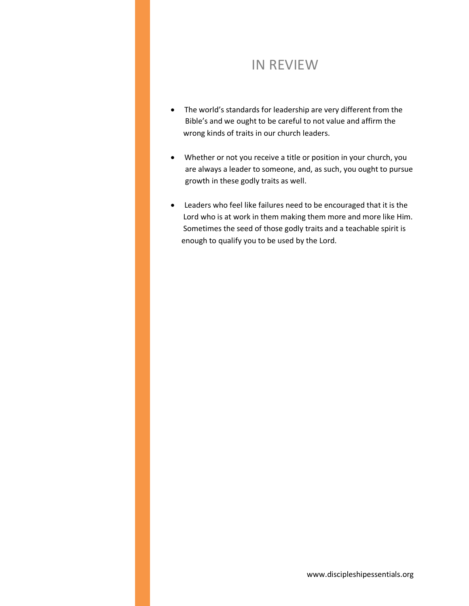#### IN REVIEW

- The world's standards for leadership are very different from the Bible's and we ought to be careful to not value and affirm the wrong kinds of traits in our church leaders.
- Whether or not you receive a title or position in your church, you are always a leader to someone, and, as such, you ought to pursue growth in these godly traits as well.
- Leaders who feel like failures need to be encouraged that it is the Lord who is at work in them making them more and more like Him. Sometimes the seed of those godly traits and a teachable spirit is enough to qualify you to be used by the Lord.